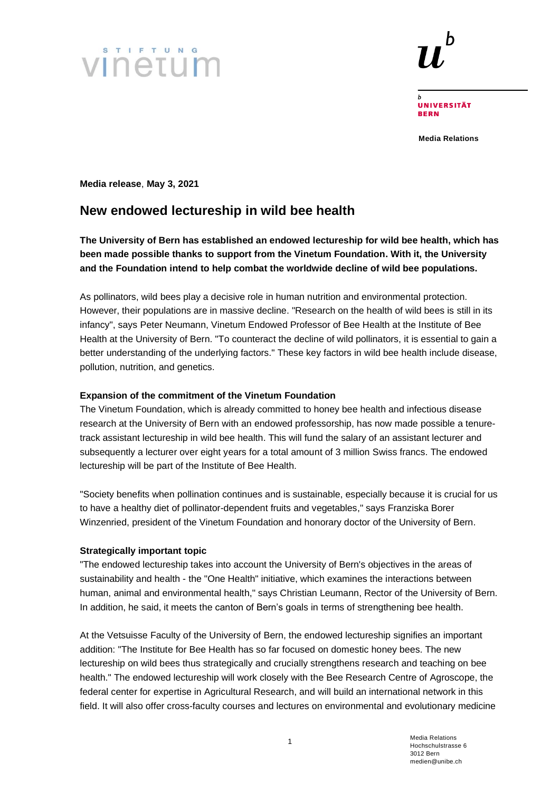



**UNIVERSITÄT BERN** 

**Media Relations**

**Media release**, **May 3, 2021**

# **New endowed lectureship in wild bee health**

# **The University of Bern has established an endowed lectureship for wild bee health, which has been made possible thanks to support from the Vinetum Foundation. With it, the University and the Foundation intend to help combat the worldwide decline of wild bee populations.**

As pollinators, wild bees play a decisive role in human nutrition and environmental protection. However, their populations are in massive decline. "Research on the health of wild bees is still in its infancy", says Peter Neumann, Vinetum Endowed Professor of Bee Health at the Institute of Bee Health at the University of Bern. "To counteract the decline of wild pollinators, it is essential to gain a better understanding of the underlying factors." These key factors in wild bee health include disease, pollution, nutrition, and genetics.

# **Expansion of the commitment of the Vinetum Foundation**

The Vinetum Foundation, which is already committed to honey bee health and infectious disease research at the University of Bern with an endowed professorship, has now made possible a tenuretrack assistant lectureship in wild bee health. This will fund the salary of an assistant lecturer and subsequently a lecturer over eight years for a total amount of 3 million Swiss francs. The endowed lectureship will be part of the Institute of Bee Health.

"Society benefits when pollination continues and is sustainable, especially because it is crucial for us to have a healthy diet of pollinator-dependent fruits and vegetables," says Franziska Borer Winzenried, president of the Vinetum Foundation and honorary doctor of the University of Bern.

#### **Strategically important topic**

"The endowed lectureship takes into account the University of Bern's objectives in the areas of sustainability and health - the "One Health" initiative, which examines the interactions between human, animal and environmental health," says Christian Leumann, Rector of the University of Bern. In addition, he said, it meets the canton of Bern's goals in terms of strengthening bee health.

At the Vetsuisse Faculty of the University of Bern, the endowed lectureship signifies an important addition: "The Institute for Bee Health has so far focused on domestic honey bees. The new lectureship on wild bees thus strategically and crucially strengthens research and teaching on bee health." The endowed lectureship will work closely with the Bee Research Centre of Agroscope, the federal center for expertise in Agricultural Research, and will build an international network in this field. It will also offer cross-faculty courses and lectures on environmental and evolutionary medicine